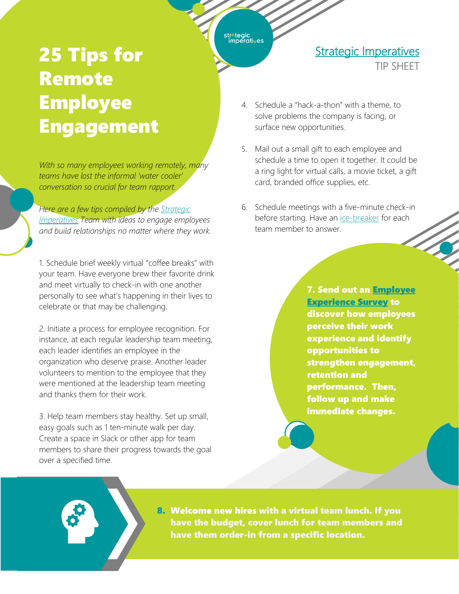## str^tegic<br>imperati<sub>v</sub>es

## 25 Tips for Remote **Employee** Engagement

*With so many employees working remotely, many teams have lost the informal 'water cooler' conversation so crucial for team rapport.* 

*Here are a few tips compiled by the [Strategic](https://strategic-imperatives.com/)  [Imperatives](https://strategic-imperatives.com/) Team with ideas to engage employees and build relationships no matter where they work.* 

1. Schedule brief weekly virtual "coffee breaks" with your team. Have everyone brew their favorite drink and meet virtually to check-in with one another personally to see what's happening in their lives to celebrate or that may be challenging.

2. Initiate a process for employee recognition. For instance, at each regular leadership team meeting, each leader identifies an employee in the organization who deserve praise. Another leader volunteers to mention to the employee that they were mentioned at the leadership team meeting and thanks them for their work.

3. Help team members stay healthy. Set up small, easy goals such as 1 ten-minute walk per day. Create a space in Slack or other app for team members to share their progress towards the goal over a specified time.

4. Schedule a "hack-a-thon" with a theme, to solve problems the company is facing, or surface new opportunities.

**Strategic Imperatives** 

TIP SHEET

- 5. Mail out a small gift to each employee and schedule a time to open it together. It could be a ring light for virtual calls, a movie ticket, a gift card, branded office supplies, etc.
- 6. Schedule meetings with a five-minute check-in before starting. Have an [ice-breaker](https://www.thebalancecareers.com/8-virtual-icebreakers-for-remote-meetings-5071396) for each team member to answer.

**7. Send out an Employee** [Experience Survey](https://go1.predictiveindex.com/report/2019-engagement-survey-report?_ga=2.216313301.278834774.1602254626-587585217.1596563253?plaId=Fw9Yd2Zl6&utm_source=PLA&utm_medium=link&utm_campaign=Fw9Yd2Zl6) to discover how employees perceive their work experience and identify opportunities to strengthen engagement, retention and performance. Then, follow up and make immediate changes.

 8. Welcome new hires with a virtual team lunch. If you have the budget, cover lunch for team members and have them order-in from a specific location.